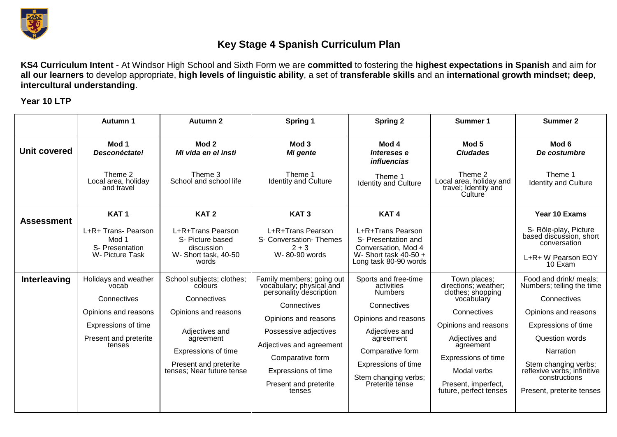

## **Key Stage 4 Spanish Curriculum Plan**

**KS4 Curriculum Intent** - At Windsor High School and Sixth Form we are **committed** to fostering the **highest expectations in Spanish** and aim for **all our learners** to develop appropriate, **high levels of linguistic ability**, a set of **transferable skills** and an **international growth mindset; deep**, **intercultural understanding**.

**Year 10 LTP**

|                     | Autumn 1                                                                                                                       | Autumn 2                                                                                                                                                                                | Spring 1                                                                                                                                                                                                                                                   | <b>Spring 2</b>                                                                                                                                                                                                  | Summer 1                                                                                                                                                                                                                             | Summer 2                                                                                                                                                                                                                                                     |
|---------------------|--------------------------------------------------------------------------------------------------------------------------------|-----------------------------------------------------------------------------------------------------------------------------------------------------------------------------------------|------------------------------------------------------------------------------------------------------------------------------------------------------------------------------------------------------------------------------------------------------------|------------------------------------------------------------------------------------------------------------------------------------------------------------------------------------------------------------------|--------------------------------------------------------------------------------------------------------------------------------------------------------------------------------------------------------------------------------------|--------------------------------------------------------------------------------------------------------------------------------------------------------------------------------------------------------------------------------------------------------------|
| Unit covered        | Mod 1<br>Desconéctate!                                                                                                         | Mod 2<br>Mi vida en el insti                                                                                                                                                            | Mod 3<br>Mi gente                                                                                                                                                                                                                                          | Mod 4<br>Intereses e<br><i>influencias</i>                                                                                                                                                                       | Mod 5<br><b>Ciudades</b>                                                                                                                                                                                                             | Mod 6<br>De costumbre                                                                                                                                                                                                                                        |
|                     | Theme 2<br>Local area, holiday<br>and travel                                                                                   | Theme 3<br>School and school life                                                                                                                                                       | Theme 1<br><b>Identity and Culture</b>                                                                                                                                                                                                                     | Theme 1<br><b>Identity and Culture</b>                                                                                                                                                                           | Theme 2<br>Local area, holiday and<br>travel; Identity and<br>Culture                                                                                                                                                                | Theme 1<br><b>Identity and Culture</b>                                                                                                                                                                                                                       |
| <b>Assessment</b>   | KAT <sub>1</sub><br>L+R+ Trans- Pearson<br>Mod 1<br>S- Presentation<br>W- Picture Task                                         | KAT <sub>2</sub><br>L+R+Trans Pearson<br>S- Picture based<br>discussion<br>W-Short task, 40-50<br>words                                                                                 | KAT <sub>3</sub><br>L+R+Trans Pearson<br>S- Conversation- Themes<br>$2 + 3$<br>W-80-90 words                                                                                                                                                               | KAT <sub>4</sub><br>L+R+Trans Pearson<br>S- Presentation and<br>Conversation, Mod 4<br>W-Short task $40-50 +$<br>Long task 80-90 words                                                                           |                                                                                                                                                                                                                                      | Year 10 Exams<br>S- Rôle-play, Picture<br>based discussion, short<br>conversation<br>L+R+ W Pearson EOY<br>10 Exam                                                                                                                                           |
| <b>Interleaving</b> | Holidays and weather<br>vocab<br>Connectives<br>Opinions and reasons<br>Expressions of time<br>Present and preterite<br>tenses | School subjects; clothes;<br>colours<br>Connectives<br>Opinions and reasons<br>Adjectives and<br>agreement<br>Expressions of time<br>Present and preterite<br>tenses; Near future tense | Family members; going out<br>vocabulary; physical and<br>personality description<br>Connectives<br>Opinions and reasons<br>Possessive adjectives<br>Adjectives and agreement<br>Comparative form<br>Expressions of time<br>Present and preterite<br>tenses | Sports and free-time<br>activities<br><b>Numbers</b><br>Connectives<br>Opinions and reasons<br>Adjectives and<br>agreement<br>Comparative form<br>Expressions of time<br>Stem changing verbs;<br>Preterite tense | Town places;<br>directions; weather;<br>clothes; shopping<br>vocabulary<br>Connectives<br>Opinions and reasons<br>Adjectives and<br>agreement<br>Expressions of time<br>Modal verbs<br>Present, imperfect,<br>future, perfect tenses | Food and drink/ meals;<br>Numbers; telling the time<br>Connectives<br>Opinions and reasons<br>Expressions of time<br><b>Question words</b><br>Narration<br>Stem changing verbs;<br>reflexive verbs; infinitive<br>constructions<br>Present, preterite tenses |